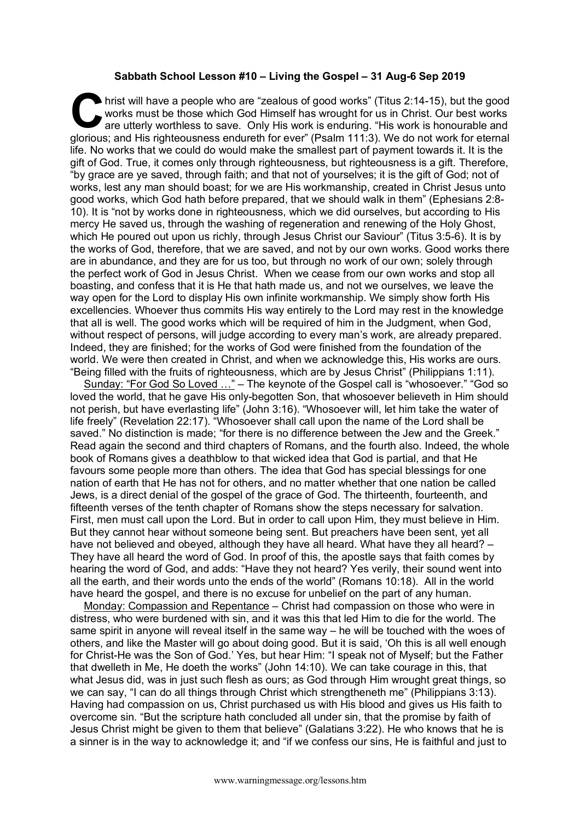## **Sabbath School Lesson #10 – Living the Gospel – 31 Aug-6 Sep 2019**

hrist will have a people who are "zealous of good works" (Titus 2:14-15), but the good works must be those which God Himself has wrought for us in Christ. Our best works are utterly worthless to save. Only His work is endu works must be those which God Himself has wrought for us in Christ. Our best works are utterly worthless to save. Only His work is enduring. "His work is honourable and glorious; and His righteousness endureth for ever" (Psalm 111:3). We do not work for eternal life. No works that we could do would make the smallest part of payment towards it. It is the gift of God. True, it comes only through righteousness, but righteousness is a gift. Therefore, "by grace are ye saved, through faith; and that not of yourselves; it is the gift of God; not of works, lest any man should boast; for we are His workmanship, created in Christ Jesus unto good works, which God hath before prepared, that we should walk in them" (Ephesians 2:8- 10). It is "not by works done in righteousness, which we did ourselves, but according to His mercy He saved us, through the washing of regeneration and renewing of the Holy Ghost, which He poured out upon us richly, through Jesus Christ our Saviour" (Titus 3:5-6). It is by the works of God, therefore, that we are saved, and not by our own works. Good works there are in abundance, and they are for us too, but through no work of our own; solely through the perfect work of God in Jesus Christ. When we cease from our own works and stop all boasting, and confess that it is He that hath made us, and not we ourselves, we leave the way open for the Lord to display His own infinite workmanship. We simply show forth His excellencies. Whoever thus commits His way entirely to the Lord may rest in the knowledge that all is well. The good works which will be required of him in the Judgment, when God, without respect of persons, will judge according to every man's work, are already prepared. Indeed, they are finished; for the works of God were finished from the foundation of the world. We were then created in Christ, and when we acknowledge this, His works are ours. "Being filled with the fruits of righteousness, which are by Jesus Christ" (Philippians 1:11).

Sunday: "For God So Loved …" – The keynote of the Gospel call is "whosoever." "God so loved the world, that he gave His only-begotten Son, that whosoever believeth in Him should not perish, but have everlasting life" (John 3:16). "Whosoever will, let him take the water of life freely" (Revelation 22:17). "Whosoever shall call upon the name of the Lord shall be saved." No distinction is made; "for there is no difference between the Jew and the Greek." Read again the second and third chapters of Romans, and the fourth also. Indeed, the whole book of Romans gives a deathblow to that wicked idea that God is partial, and that He favours some people more than others. The idea that God has special blessings for one nation of earth that He has not for others, and no matter whether that one nation be called Jews, is a direct denial of the gospel of the grace of God. The thirteenth, fourteenth, and fifteenth verses of the tenth chapter of Romans show the steps necessary for salvation. First, men must call upon the Lord. But in order to call upon Him, they must believe in Him. But they cannot hear without someone being sent. But preachers have been sent, yet all have not believed and obeyed, although they have all heard. What have they all heard? – They have all heard the word of God. In proof of this, the apostle says that faith comes by hearing the word of God, and adds: "Have they not heard? Yes verily, their sound went into all the earth, and their words unto the ends of the world" (Romans 10:18). All in the world have heard the gospel, and there is no excuse for unbelief on the part of any human.

Monday: Compassion and Repentance – Christ had compassion on those who were in distress, who were burdened with sin, and it was this that led Him to die for the world. The same spirit in anyone will reveal itself in the same way – he will be touched with the woes of others, and like the Master will go about doing good. But it is said, 'Oh this is all well enough for Christ-He was the Son of God.' Yes, but hear Him: "I speak not of Myself; but the Father that dwelleth in Me, He doeth the works" (John 14:10). We can take courage in this, that what Jesus did, was in just such flesh as ours; as God through Him wrought great things, so we can say, "I can do all things through Christ which strengtheneth me" (Philippians 3:13). Having had compassion on us, Christ purchased us with His blood and gives us His faith to overcome sin. "But the scripture hath concluded all under sin, that the promise by faith of Jesus Christ might be given to them that believe" (Galatians 3:22). He who knows that he is a sinner is in the way to acknowledge it; and "if we confess our sins, He is faithful and just to